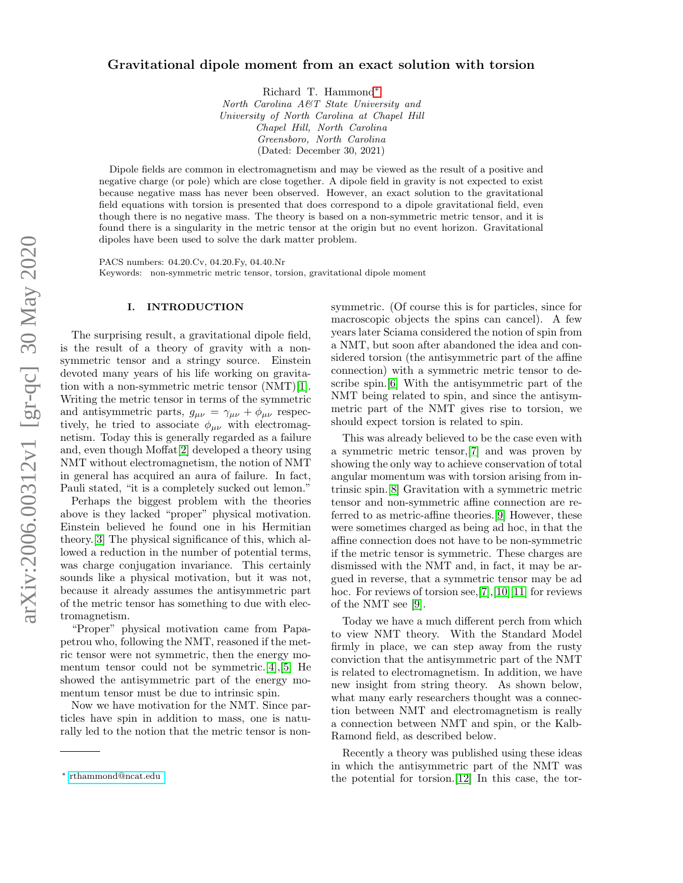## arXiv:2006.00312v1 [gr-qc] 30 May 2020 arXiv:2006.00312v1 [gr-qc] 30 May 2020

## Gravitational dipole moment from an exact solution with torsion

Richard T. Hammond[∗](#page-0-0)

North Carolina A&T State University and University of North Carolina at Chapel Hill Chapel Hill, North Carolina Greensboro, North Carolina (Dated: December 30, 2021)

Dipole fields are common in electromagnetism and may be viewed as the result of a positive and negative charge (or pole) which are close together. A dipole field in gravity is not expected to exist because negative mass has never been observed. However, an exact solution to the gravitational field equations with torsion is presented that does correspond to a dipole gravitational field, even though there is no negative mass. The theory is based on a non-symmetric metric tensor, and it is found there is a singularity in the metric tensor at the origin but no event horizon. Gravitational dipoles have been used to solve the dark matter problem.

PACS numbers: 04.20.Cv, 04.20.Fy, 04.40.Nr Keywords: non-symmetric metric tensor, torsion, gravitational dipole moment

## I. INTRODUCTION

The surprising result, a gravitational dipole field, is the result of a theory of gravity with a nonsymmetric tensor and a stringy source. Einstein devoted many years of his life working on gravitation with a non-symmetric metric tensor (NMT)[\[1\]](#page-3-0). Writing the metric tensor in terms of the symmetric and antisymmetric parts,  $g_{\mu\nu} = \gamma_{\mu\nu} + \phi_{\mu\nu}$  respectively, he tried to associate  $\phi_{\mu\nu}$  with electromagnetism. Today this is generally regarded as a failure and, even though Moffat[\[2\]](#page-3-1) developed a theory using NMT without electromagnetism, the notion of NMT in general has acquired an aura of failure. In fact, Pauli stated, "it is a completely sucked out lemon."

Perhaps the biggest problem with the theories above is they lacked "proper" physical motivation. Einstein believed he found one in his Hermitian theory.[\[3\]](#page-3-2) The physical significance of this, which allowed a reduction in the number of potential terms, was charge conjugation invariance. This certainly sounds like a physical motivation, but it was not, because it already assumes the antisymmetric part of the metric tensor has something to due with electromagnetism.

"Proper" physical motivation came from Papapetrou who, following the NMT, reasoned if the metric tensor were not symmetric, then the energy momentum tensor could not be symmetric.[\[4\]](#page-3-3),[\[5\]](#page-3-4) He showed the antisymmetric part of the energy momentum tensor must be due to intrinsic spin.

Now we have motivation for the NMT. Since particles have spin in addition to mass, one is naturally led to the notion that the metric tensor is nonsymmetric. (Of course this is for particles, since for macroscopic objects the spins can cancel). A few years later Sciama considered the notion of spin from a NMT, but soon after abandoned the idea and considered torsion (the antisymmetric part of the affine connection) with a symmetric metric tensor to describe spin.[\[6\]](#page-3-5) With the antisymmetric part of the NMT being related to spin, and since the antisymmetric part of the NMT gives rise to torsion, we should expect torsion is related to spin.

This was already believed to be the case even with a symmetric metric tensor,[\[7\]](#page-3-6) and was proven by showing the only way to achieve conservation of total angular momentum was with torsion arising from intrinsic spin.[\[8\]](#page-3-7) Gravitation with a symmetric metric tensor and non-symmetric affine connection are referred to as metric-affine theories.[\[9\]](#page-3-8) However, these were sometimes charged as being ad hoc, in that the affine connection does not have to be non-symmetric if the metric tensor is symmetric. These charges are dismissed with the NMT and, in fact, it may be argued in reverse, that a symmetric tensor may be ad hoc. For reviews of torsion see, [\[7\]](#page-3-6), [\[10\]](#page-3-9)[\[11\]](#page-3-10) for reviews of the NMT see [\[9\]](#page-3-8).

Today we have a much different perch from which to view NMT theory. With the Standard Model firmly in place, we can step away from the rusty conviction that the antisymmetric part of the NMT is related to electromagnetism. In addition, we have new insight from string theory. As shown below, what many early researchers thought was a connection between NMT and electromagnetism is really a connection between NMT and spin, or the Kalb-Ramond field, as described below.

Recently a theory was published using these ideas in which the antisymmetric part of the NMT was the potential for torsion.[\[12\]](#page-3-11) In this case, the tor-

<span id="page-0-0"></span><sup>∗</sup> [rthammond@ncat.edu](mailto:rthammond@ncat.edu )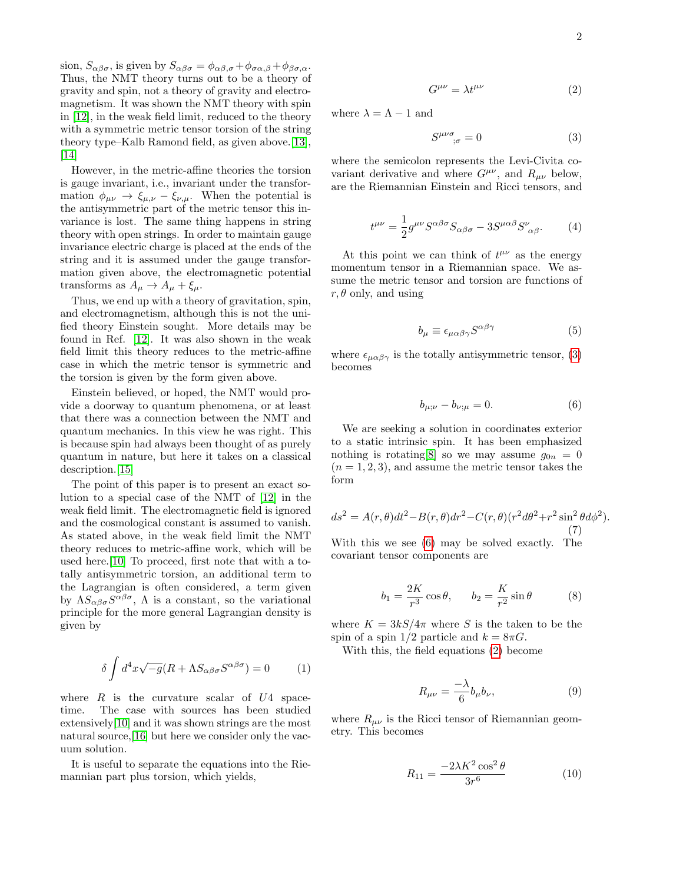sion,  $S_{\alpha\beta\sigma}$ , is given by  $S_{\alpha\beta\sigma} = \phi_{\alpha\beta,\sigma} + \phi_{\sigma\alpha,\beta} + \phi_{\beta\sigma,\alpha}$ . Thus, the NMT theory turns out to be a theory of gravity and spin, not a theory of gravity and electromagnetism. It was shown the NMT theory with spin in [\[12\]](#page-3-11), in the weak field limit, reduced to the theory with a symmetric metric tensor torsion of the string theory type–Kalb Ramond field, as given above.[\[13\]](#page-3-12),  $\vert 14 \vert$ 

However, in the metric-affine theories the torsion is gauge invariant, i.e., invariant under the transformation  $\phi_{\mu\nu} \rightarrow \xi_{\mu,\nu} - \xi_{\nu,\mu}$ . When the potential is the antisymmetric part of the metric tensor this invariance is lost. The same thing happens in string theory with open strings. In order to maintain gauge invariance electric charge is placed at the ends of the string and it is assumed under the gauge transformation given above, the electromagnetic potential transforms as  $A_{\mu} \rightarrow A_{\mu} + \xi_{\mu}$ .

Thus, we end up with a theory of gravitation, spin, and electromagnetism, although this is not the unified theory Einstein sought. More details may be found in Ref. [\[12\]](#page-3-11). It was also shown in the weak field limit this theory reduces to the metric-affine case in which the metric tensor is symmetric and the torsion is given by the form given above.

Einstein believed, or hoped, the NMT would provide a doorway to quantum phenomena, or at least that there was a connection between the NMT and quantum mechanics. In this view he was right. This is because spin had always been thought of as purely quantum in nature, but here it takes on a classical description.<sup>[\[15\]](#page-3-14)</sup>

The point of this paper is to present an exact solution to a special case of the NMT of [\[12\]](#page-3-11) in the weak field limit. The electromagnetic field is ignored and the cosmological constant is assumed to vanish. As stated above, in the weak field limit the NMT theory reduces to metric-affine work, which will be used here.[\[10\]](#page-3-9) To proceed, first note that with a totally antisymmetric torsion, an additional term to the Lagrangian is often considered, a term given by  $\Lambda S_{\alpha\beta\sigma}S^{\alpha\beta\sigma}$ ,  $\Lambda$  is a constant, so the variational principle for the more general Lagrangian density is given by

$$
\delta \int d^4x \sqrt{-g} (R + \Lambda S_{\alpha\beta\sigma} S^{\alpha\beta\sigma}) = 0 \tag{1}
$$

where  $R$  is the curvature scalar of  $U4$  spacetime. The case with sources has been studied extensively[\[10\]](#page-3-9) and it was shown strings are the most natural source,[\[16\]](#page-3-15) but here we consider only the vacuum solution.

It is useful to separate the equations into the Riemannian part plus torsion, which yields,

<span id="page-1-2"></span>
$$
G^{\mu\nu} = \lambda t^{\mu\nu} \tag{2}
$$

where  $\lambda = \Lambda - 1$  and

<span id="page-1-0"></span>
$$
S^{\mu\nu\sigma}_{\qquad;\sigma} = 0 \tag{3}
$$

where the semicolon represents the Levi-Civita covariant derivative and where  $G^{\mu\nu}$ , and  $R_{\mu\nu}$  below, are the Riemannian Einstein and Ricci tensors, and

$$
t^{\mu\nu} = \frac{1}{2} g^{\mu\nu} S^{\alpha\beta\sigma} S_{\alpha\beta\sigma} - 3 S^{\mu\alpha\beta} S^{\nu}_{\ \alpha\beta}.
$$
 (4)

At this point we can think of  $t^{\mu\nu}$  as the energy momentum tensor in a Riemannian space. We assume the metric tensor and torsion are functions of  $r, \theta$  only, and using

$$
b_{\mu} \equiv \epsilon_{\mu\alpha\beta\gamma} S^{\alpha\beta\gamma} \tag{5}
$$

where  $\epsilon_{\mu\alpha\beta\gamma}$  is the totally antisymmetric tensor, [\(3\)](#page-1-0) becomes

<span id="page-1-1"></span>
$$
b_{\mu;\nu} - b_{\nu;\mu} = 0. \tag{6}
$$

We are seeking a solution in coordinates exterior to a static intrinsic spin. It has been emphasized nothing is rotating  $[8]$  so we may assume  $g_{0n} = 0$  $(n = 1, 2, 3)$ , and assume the metric tensor takes the form

$$
ds^{2} = A(r,\theta)dt^{2} - B(r,\theta)dr^{2} - C(r,\theta)(r^{2}d\theta^{2} + r^{2}\sin^{2}\theta d\phi^{2}).
$$
\n(7)

With this we see [\(6\)](#page-1-1) may be solved exactly. The covariant tensor components are

<span id="page-1-4"></span>
$$
b_1 = \frac{2K}{r^3} \cos \theta, \qquad b_2 = \frac{K}{r^2} \sin \theta \tag{8}
$$

where  $K = 3kS/4\pi$  where S is the taken to be the spin of a spin  $1/2$  particle and  $k = 8\pi G$ .

With this, the field equations [\(2\)](#page-1-2) become

<span id="page-1-3"></span>
$$
R_{\mu\nu} = \frac{-\lambda}{6} b_{\mu} b_{\nu},\tag{9}
$$

where  $R_{\mu\nu}$  is the Ricci tensor of Riemannian geometry. This becomes

$$
R_{11} = \frac{-2\lambda K^2 \cos^2 \theta}{3r^6} \tag{10}
$$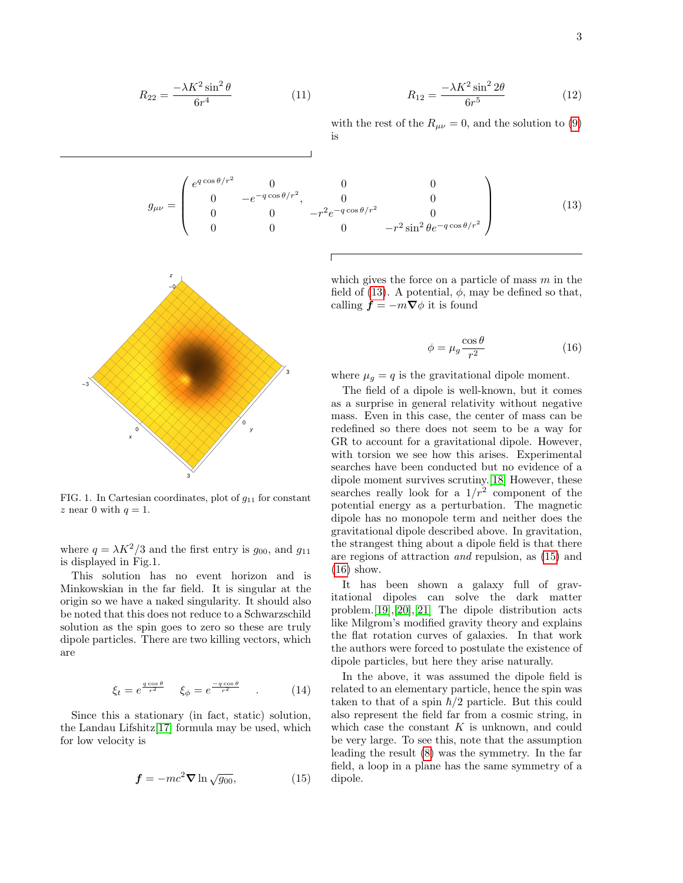$$
R_{22} = \frac{-\lambda K^2 \sin^2 \theta}{6r^4} \tag{11}
$$

(11) 
$$
R_{12} = \frac{-\lambda K^2 \sin^2 2\theta}{6r^5}
$$
 (12)

with the rest of the  $R_{\mu\nu} = 0$ , and the solution to [\(9\)](#page-1-3) is

<span id="page-2-0"></span> $g_{\mu\nu} =$  $\sqrt{ }$  $\overline{\phantom{a}}$  $e^{q\cos\theta/r^2}$  0 0 0 0  $-e^{-q\cos\theta/r^2}$ , 0 0 0 0  $-r^2 e^{-q \cos \theta/r^2}$  0 0 0  $-r^2 \sin^2 \theta e^{-q \cos \theta/r^2}$  $\setminus$  $\overline{\phantom{a}}$ (13)



FIG. 1. In Cartesian coordinates, plot of  $g_{11}$  for constant z near 0 with  $q = 1$ .

where  $q = \lambda K^2/3$  and the first entry is  $g_{00}$ , and  $g_{11}$ is displayed in Fig.1.

This solution has no event horizon and is Minkowskian in the far field. It is singular at the origin so we have a naked singularity. It should also be noted that this does not reduce to a Schwarzschild solution as the spin goes to zero so these are truly dipole particles. There are two killing vectors, which are

$$
\xi_t = e^{\frac{q\cos\theta}{r^2}} \quad \xi_\phi = e^{\frac{-q\cos\theta}{r^2}} \quad . \tag{14}
$$

Since this a stationary (in fact, static) solution, the Landau Lifshitz[\[17\]](#page-3-16) formula may be used, which for low velocity is

<span id="page-2-1"></span>
$$
\mathbf{f} = -mc^2 \nabla \ln \sqrt{g_{00}},\tag{15}
$$

which gives the force on a particle of mass m in the field of (13). A potential, 
$$
\phi
$$
, may be defined so that, calling  $\mathbf{f} = -m\nabla\phi$  it is found

<span id="page-2-2"></span>
$$
\phi = \mu_g \frac{\cos \theta}{r^2} \tag{16}
$$

where  $\mu_q = q$  is the gravitational dipole moment.

The field of a dipole is well-known, but it comes as a surprise in general relativity without negative mass. Even in this case, the center of mass can be redefined so there does not seem to be a way for GR to account for a gravitational dipole. However, with torsion we see how this arises. Experimental searches have been conducted but no evidence of a dipole moment survives scrutiny.[\[18\]](#page-3-17) However, these searches really look for a  $1/r^2$  component of the potential energy as a perturbation. The magnetic dipole has no monopole term and neither does the gravitational dipole described above. In gravitation, the strangest thing about a dipole field is that there are regions of attraction and repulsion, as [\(15\)](#page-2-1) and [\(16\)](#page-2-2) show.

It has been shown a galaxy full of gravitational dipoles can solve the dark matter problem.[\[19\]](#page-3-18),[\[20\]](#page-3-19),[\[21\]](#page-3-20) The dipole distribution acts like Milgrom's modified gravity theory and explains the flat rotation curves of galaxies. In that work the authors were forced to postulate the existence of dipole particles, but here they arise naturally.

In the above, it was assumed the dipole field is related to an elementary particle, hence the spin was taken to that of a spin  $\hbar/2$  particle. But this could also represent the field far from a cosmic string, in which case the constant  $K$  is unknown, and could be very large. To see this, note that the assumption leading the result [\(8\)](#page-1-4) was the symmetry. In the far field, a loop in a plane has the same symmetry of a dipole.